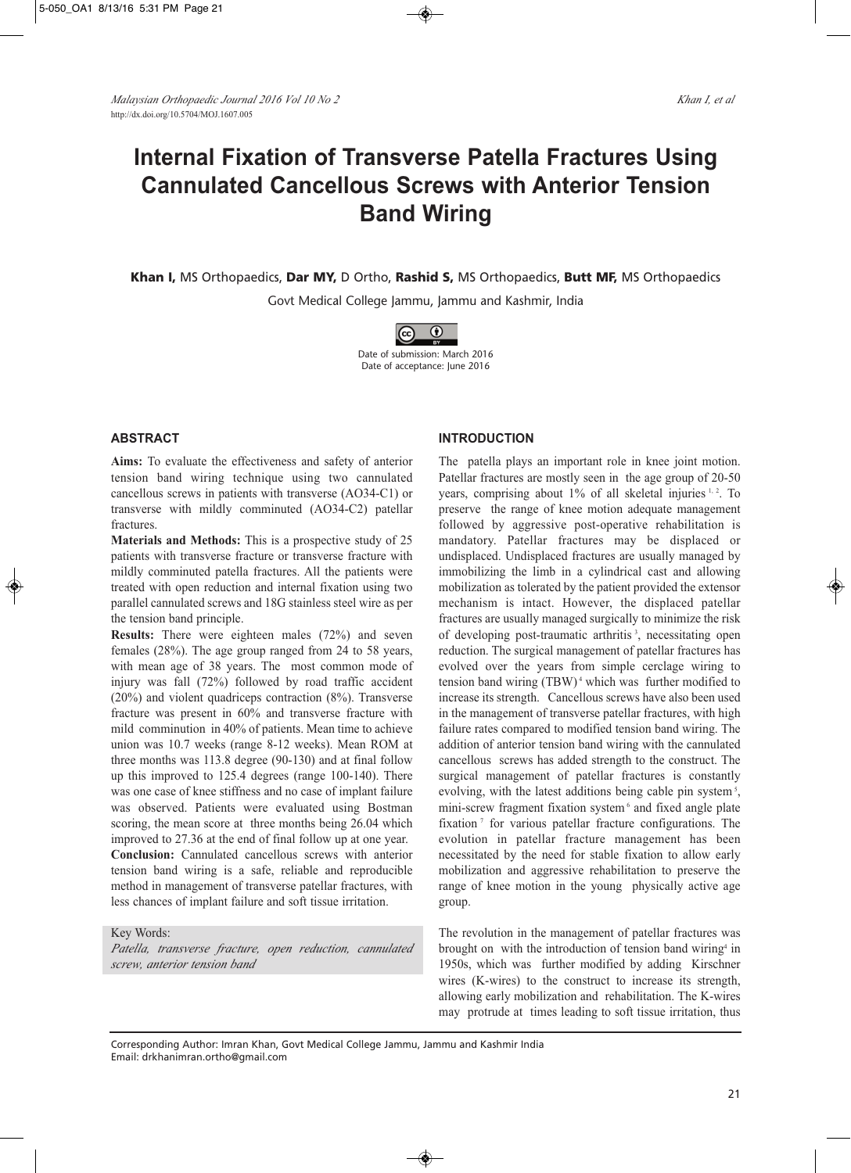# **Internal Fixation of Transverse Patella Fractures Using Cannulated Cancellous Screws with Anterior Tension Band Wiring**

**Khan I,** MS Orthopaedics, **Dar MY,** D Ortho, **Rashid S,** MS Orthopaedics, **Butt MF,** MS Orthopaedics

Govt Medical College Jammu, Jammu and Kashmir, India



# **ABSTRACT**

**Aims:** To evaluate the effectiveness and safety of anterior tension band wiring technique using two cannulated cancellous screws in patients with transverse (AO34-C1) or transverse with mildly comminuted (AO34-C2) patellar fractures.

**Materials and Methods:** This is a prospective study of 25 patients with transverse fracture or transverse fracture with mildly comminuted patella fractures. All the patients were treated with open reduction and internal fixation using two parallel cannulated screws and 18G stainless steel wire as per the tension band principle.

**Results:** There were eighteen males (72%) and seven females (28%). The age group ranged from 24 to 58 years, with mean age of 38 years. The most common mode of injury was fall (72%) followed by road traffic accident (20%) and violent quadriceps contraction (8%). Transverse fracture was present in 60% and transverse fracture with mild comminution in 40% of patients. Mean time to achieve union was 10.7 weeks (range 8-12 weeks). Mean ROM at three months was 113.8 degree (90-130) and at final follow up this improved to 125.4 degrees (range 100-140). There was one case of knee stiffness and no case of implant failure was observed. Patients were evaluated using Bostman scoring, the mean score at three months being 26.04 which improved to 27.36 at the end of final follow up at one year. **Conclusion:** Cannulated cancellous screws with anterior tension band wiring is a safe, reliable and reproducible method in management of transverse patellar fractures, with less chances of implant failure and soft tissue irritation.

#### Key Words:

*Patella, transverse fracture, open reduction, cannulated screw, anterior tension band*

#### **INTRODUCTION**

The patella plays an important role in knee joint motion. Patellar fractures are mostly seen in the age group of 20-50 years, comprising about 1% of all skeletal injuries <sup>1, 2</sup>. To preserve the range of knee motion adequate management followed by aggressive post-operative rehabilitation is mandatory. Patellar fractures may be displaced or undisplaced. Undisplaced fractures are usually managed by immobilizing the limb in a cylindrical cast and allowing mobilization as tolerated by the patient provided the extensor mechanism is intact. However, the displaced patellar fractures are usually managed surgically to minimize the risk of developing post-traumatic arthritis<sup>3</sup>, necessitating open reduction. The surgical management of patellar fractures has evolved over the years from simple cerclage wiring to tension band wiring (TBW) <sup>4</sup> which was further modified to increase its strength. Cancellous screws have also been used in the management of transverse patellar fractures, with high failure rates compared to modified tension band wiring. The addition of anterior tension band wiring with the cannulated cancellous screws has added strength to the construct. The surgical management of patellar fractures is constantly evolving, with the latest additions being cable pin system<sup>5</sup>, mini-screw fragment fixation system <sup>6</sup> and fixed angle plate fixation<sup>7</sup> for various patellar fracture configurations. The evolution in patellar fracture management has been necessitated by the need for stable fixation to allow early mobilization and aggressive rehabilitation to preserve the range of knee motion in the young physically active age group.

The revolution in the management of patellar fractures was brought on with the introduction of tension band wiring<sup>4</sup> in 1950s, which was further modified by adding Kirschner wires (K-wires) to the construct to increase its strength, allowing early mobilization and rehabilitation. The K-wires may protrude at times leading to soft tissue irritation, thus

Corresponding Author: Imran Khan, Govt Medical College Jammu, Jammu and Kashmir India Email: drkhanimran.ortho@gmail.com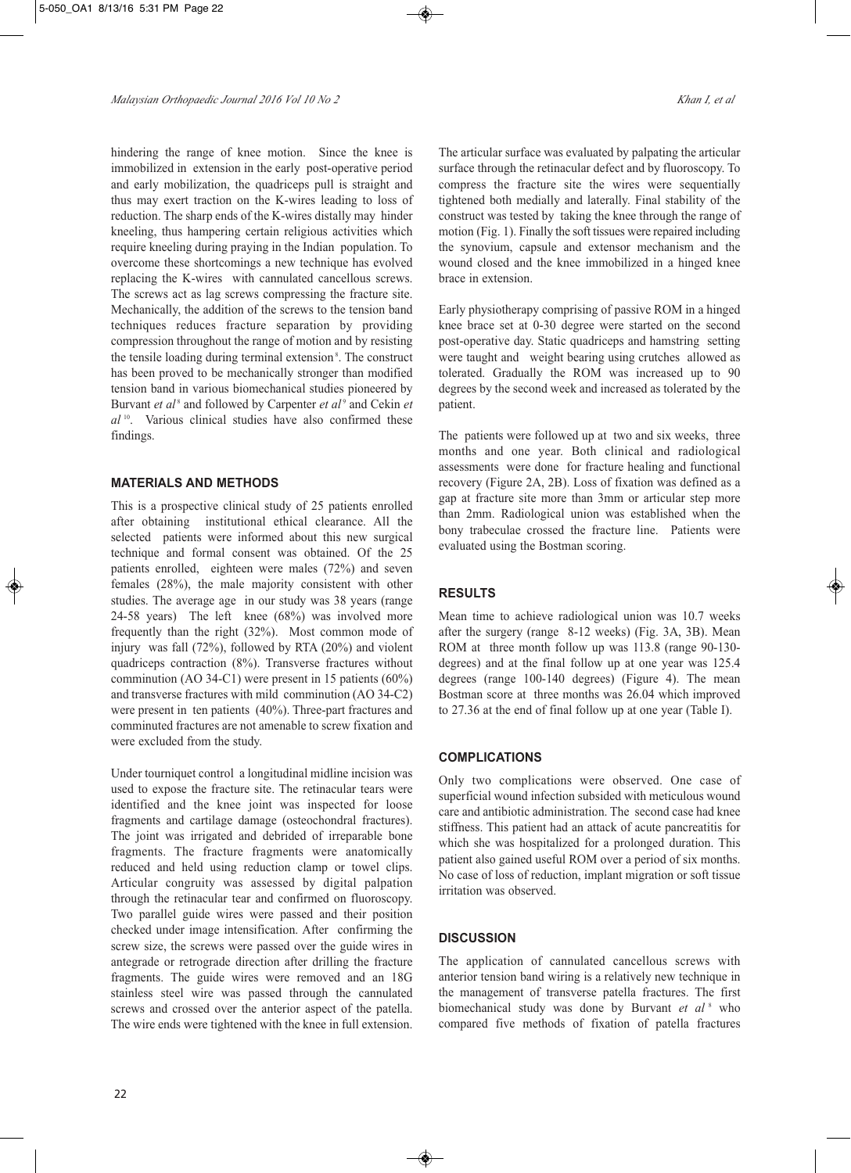hindering the range of knee motion. Since the knee is immobilized in extension in the early post-operative period and early mobilization, the quadriceps pull is straight and thus may exert traction on the K-wires leading to loss of reduction. The sharp ends of the K-wires distally may hinder kneeling, thus hampering certain religious activities which require kneeling during praying in the Indian population. To overcome these shortcomings a new technique has evolved replacing the K-wires with cannulated cancellous screws. The screws act as lag screws compressing the fracture site. Mechanically, the addition of the screws to the tension band techniques reduces fracture separation by providing compression throughout the range of motion and by resisting the tensile loading during terminal extension<sup>8</sup>. The construct has been proved to be mechanically stronger than modified tension band in various biomechanical studies pioneered by Burvant *et al* <sup>8</sup> and followed by Carpenter *et al* <sup>9</sup> and Cekin *et al* <sup>10</sup> . Various clinical studies have also confirmed these findings.

#### **MATERIALS AND METHODS**

This is a prospective clinical study of 25 patients enrolled after obtaining institutional ethical clearance. All the selected patients were informed about this new surgical technique and formal consent was obtained. Of the 25 patients enrolled, eighteen were males (72%) and seven females (28%), the male majority consistent with other studies. The average age in our study was 38 years (range 24-58 years) The left knee (68%) was involved more frequently than the right (32%). Most common mode of injury was fall (72%), followed by RTA (20%) and violent quadriceps contraction (8%). Transverse fractures without comminution (AO 34-C1) were present in 15 patients (60%) and transverse fractures with mild comminution (AO 34-C2) were present in ten patients (40%). Three-part fractures and comminuted fractures are not amenable to screw fixation and were excluded from the study.

Under tourniquet control a longitudinal midline incision was used to expose the fracture site. The retinacular tears were identified and the knee joint was inspected for loose fragments and cartilage damage (osteochondral fractures). The joint was irrigated and debrided of irreparable bone fragments. The fracture fragments were anatomically reduced and held using reduction clamp or towel clips. Articular congruity was assessed by digital palpation through the retinacular tear and confirmed on fluoroscopy. Two parallel guide wires were passed and their position checked under image intensification. After confirming the screw size, the screws were passed over the guide wires in antegrade or retrograde direction after drilling the fracture fragments. The guide wires were removed and an 18G stainless steel wire was passed through the cannulated screws and crossed over the anterior aspect of the patella. The wire ends were tightened with the knee in full extension.

The articular surface was evaluated by palpating the articular surface through the retinacular defect and by fluoroscopy. To compress the fracture site the wires were sequentially tightened both medially and laterally. Final stability of the construct was tested by taking the knee through the range of motion (Fig. 1). Finally the soft tissues were repaired including the synovium, capsule and extensor mechanism and the wound closed and the knee immobilized in a hinged knee brace in extension.

Early physiotherapy comprising of passive ROM in a hinged knee brace set at 0-30 degree were started on the second post-operative day. Static quadriceps and hamstring setting were taught and weight bearing using crutches allowed as tolerated. Gradually the ROM was increased up to 90 degrees by the second week and increased as tolerated by the patient.

The patients were followed up at two and six weeks, three months and one year. Both clinical and radiological assessments were done for fracture healing and functional recovery (Figure 2A, 2B). Loss of fixation was defined as a gap at fracture site more than 3mm or articular step more than 2mm. Radiological union was established when the bony trabeculae crossed the fracture line. Patients were evaluated using the Bostman scoring.

## **RESULTS**

Mean time to achieve radiological union was 10.7 weeks after the surgery (range 8-12 weeks) (Fig. 3A, 3B). Mean ROM at three month follow up was 113.8 (range 90-130 degrees) and at the final follow up at one year was 125.4 degrees (range 100-140 degrees) (Figure 4). The mean Bostman score at three months was 26.04 which improved to 27.36 at the end of final follow up at one year (Table I).

## **COMPLICATIONS**

Only two complications were observed. One case of superficial wound infection subsided with meticulous wound care and antibiotic administration. The second case had knee stiffness. This patient had an attack of acute pancreatitis for which she was hospitalized for a prolonged duration. This patient also gained useful ROM over a period of six months. No case of loss of reduction, implant migration or soft tissue irritation was observed.

## **DISCUSSION**

The application of cannulated cancellous screws with anterior tension band wiring is a relatively new technique in the management of transverse patella fractures. The first biomechanical study was done by Burvant *et al* <sup>8</sup> who compared five methods of fixation of patella fractures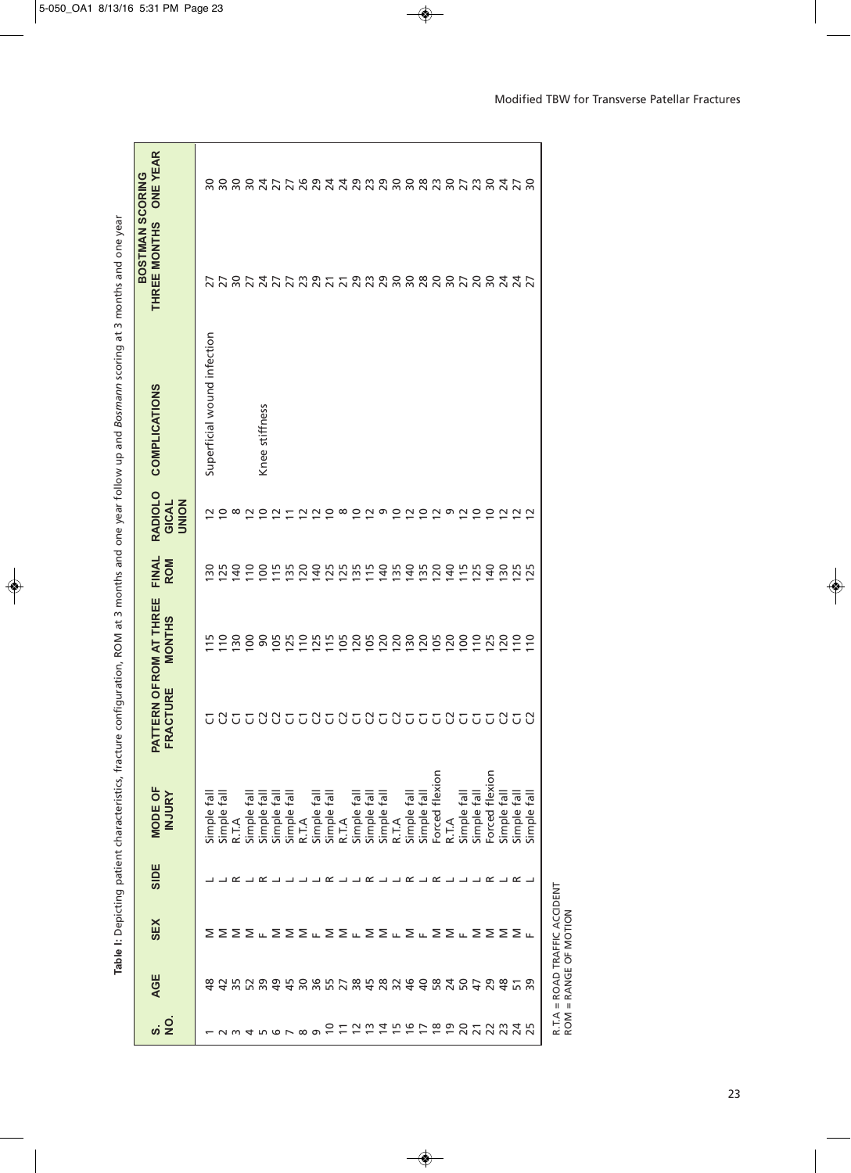|                             |                                                                                                                                                                                                                               |                           |         | Table I: Depicting patient characteristics, fracture |                     |                                            |                     |                                                | configuration, ROM at 3 months and one year follow up and Bosmann scoring at 3 months and one year |                                 |                                  |
|-----------------------------|-------------------------------------------------------------------------------------------------------------------------------------------------------------------------------------------------------------------------------|---------------------------|---------|------------------------------------------------------|---------------------|--------------------------------------------|---------------------|------------------------------------------------|----------------------------------------------------------------------------------------------------|---------------------------------|----------------------------------|
| ທ່ 2ີ                       | AGE                                                                                                                                                                                                                           | <b>SEX</b>                | SIDE    | MODE OF<br><b>INJURY</b>                             | ACTURE<br>ER<br>PAT | TERN OF ROM AT THREE<br><b>MONTHS</b>      | FINAL<br><b>ROM</b> | <b>RADIOLO</b><br><b>NOIND</b><br><b>GICAL</b> | <b>COMPLICATIONS</b>                                                                               | BOSTMAN SCORING<br>THREE MONTHS | <b>ONE YEAR</b>                  |
|                             | 유                                                                                                                                                                                                                             |                           |         | Simple fa                                            | U                   |                                            | ္က                  |                                                | Superficial wound infection                                                                        |                                 | $\approx$                        |
|                             | 4 w r w 4 4 w w r v w 4 c w w 4 4 r v r 4 c x 4 c + 0 x 4 c + 0 x 4 c + 0 x 4 c + 0 x 4 c + 0 x 4 c + 0 x 4 c + 0 x 4 c + 0 x 4 c + 0 x 4 c + 0 x 4 c + 0 x 4 c + 0 x 4 c + 0 x 4 c + 0 x 4 c + 0 x 4 c + 0 x 4 c + 0 x 4 c + |                           |         | Simple fall                                          |                     | $\Xi$                                      | <b>125</b>          | $\overline{0}$                                 |                                                                                                    | $\overline{27}$                 | coodrrwaadamac<br>Coodrrwaadamac |
|                             |                                                                                                                                                                                                                               |                           |         | R.T.A                                                |                     |                                            | $\frac{1}{2}$       | $\infty$                                       |                                                                                                    |                                 |                                  |
| $N$ $M$ $N$ $N$ $N$ $N$ $N$ |                                                                                                                                                                                                                               |                           |         | ≣<br>Simple <sup>®</sup>                             |                     |                                            | $\approx$           | $\simeq$                                       |                                                                                                    |                                 |                                  |
|                             |                                                                                                                                                                                                                               |                           | .∟∟ ב מ | Simple fall                                          |                     |                                            |                     | S                                              | Knee stiffness                                                                                     |                                 |                                  |
|                             |                                                                                                                                                                                                                               |                           |         | Simple fal                                           |                     |                                            | 255                 | $\tilde{c}$                                    |                                                                                                    |                                 |                                  |
|                             |                                                                                                                                                                                                                               |                           |         | lle <sup>4</sup><br>Simple 1                         |                     |                                            |                     | 三                                              |                                                                                                    |                                 |                                  |
|                             |                                                                                                                                                                                                                               |                           |         | R.T.A                                                |                     |                                            | <b>20</b>           | $\tilde{c}$                                    |                                                                                                    |                                 |                                  |
| മ                           |                                                                                                                                                                                                                               |                           |         | Simple fal                                           |                     |                                            | 140                 | $\frac{2}{5}$                                  |                                                                                                    |                                 |                                  |
|                             |                                                                                                                                                                                                                               |                           |         | Simple fall                                          |                     |                                            | 255                 |                                                |                                                                                                    |                                 |                                  |
|                             |                                                                                                                                                                                                                               |                           |         | R.T.A                                                |                     |                                            |                     | $\infty$                                       |                                                                                                    |                                 |                                  |
| つけいにはた                      |                                                                                                                                                                                                                               |                           |         | Simple fall                                          |                     | <b>B</b> 8 8 8 8 5 5 5 5 6 5 6 5 6 5 6 5 6 |                     | $\overline{0}$                                 |                                                                                                    | $R55555585557888888888888$      |                                  |
|                             |                                                                                                                                                                                                                               |                           |         | Simple fall                                          |                     |                                            | 115                 | $\tilde{c}$                                    |                                                                                                    |                                 |                                  |
|                             |                                                                                                                                                                                                                               |                           |         | lle <sup>4</sup><br>Simple 1                         |                     |                                            | 140                 | ᡡ                                              |                                                                                                    |                                 |                                  |
|                             |                                                                                                                                                                                                                               |                           |         | R.T.A                                                |                     |                                            | 135                 | S                                              |                                                                                                    |                                 |                                  |
| $\Xi$ $\Xi$                 |                                                                                                                                                                                                                               |                           |         | Simple fall                                          |                     |                                            | 140                 | $\tilde{c}$                                    |                                                                                                    |                                 |                                  |
|                             |                                                                                                                                                                                                                               |                           |         | Simple fal                                           |                     |                                            | 135                 |                                                |                                                                                                    |                                 |                                  |
| ខុទ្គក                      |                                                                                                                                                                                                                               |                           |         | flexion<br>Forced                                    |                     |                                            | $\overline{20}$     | 220                                            |                                                                                                    |                                 |                                  |
|                             |                                                                                                                                                                                                                               |                           |         | R.T.A                                                |                     |                                            | $\frac{1}{4}$       |                                                |                                                                                                    |                                 |                                  |
|                             |                                                                                                                                                                                                                               |                           |         | Simple fall                                          |                     | $\overline{5}$                             | $\frac{5}{11}$      |                                                |                                                                                                    |                                 |                                  |
|                             |                                                                                                                                                                                                                               |                           |         | Simple fall                                          |                     | 110                                        | 125                 | 290                                            |                                                                                                    |                                 |                                  |
| $\overline{2}$              |                                                                                                                                                                                                                               |                           |         | Forced flexion                                       |                     |                                            | $\frac{1}{4}$       |                                                |                                                                                                    |                                 |                                  |
|                             |                                                                                                                                                                                                                               |                           |         | Simple fall                                          |                     | 120                                        | $\frac{50}{2}$      | $\approx$ $\approx$                            |                                                                                                    | $74^{\circ}$                    |                                  |
| 23425                       | $\frac{5}{9}$                                                                                                                                                                                                                 | ΣΣΣΣπΣΣΣπΣΣπΣΣπΣπΣΣπΣΣΣΣπ |         | Simple fall                                          |                     | $\approx$                                  | 125                 |                                                |                                                                                                    |                                 | 222222                           |
|                             |                                                                                                                                                                                                                               |                           |         | ∥e<br>Simple                                         | C)                  | $\tilde{=}$                                | 25                  |                                                |                                                                                                    | 22                              |                                  |
|                             |                                                                                                                                                                                                                               |                           |         |                                                      |                     |                                            |                     |                                                |                                                                                                    |                                 |                                  |

| ing at 3 mor-      |
|--------------------|
|                    |
|                    |
| -<br>2<br>2<br>2   |
| $\frac{1}{2}$      |
| í                  |
|                    |
|                    |
| l                  |
| New up and Bosman. |
|                    |
|                    |
|                    |
|                    |
| 7<br>j             |
| Ĕ                  |
| neav,              |
|                    |
| s and one          |
|                    |
|                    |
|                    |
|                    |
|                    |
|                    |
| ֕                  |
|                    |
| $1$ at 3 month.    |
|                    |
|                    |
| ¢                  |
|                    |
|                    |
| ١                  |
|                    |
|                    |
| ı                  |
|                    |
| i                  |
|                    |
|                    |
|                    |
| ristics,           |
|                    |
|                    |
|                    |
| ļ                  |
|                    |
|                    |
| ֡֡֡֡֡֡<br>I        |
|                    |
|                    |
| I<br>i             |
|                    |
| l                  |
| ò<br>j<br>ı        |

R.T.A = ROAD TRAFFIC ACCIDENT<br>ROM = RANGE OF MOTION R.T.A = ROAD TRAFFIC ACCIDENT ROM = RANGE OF MOTION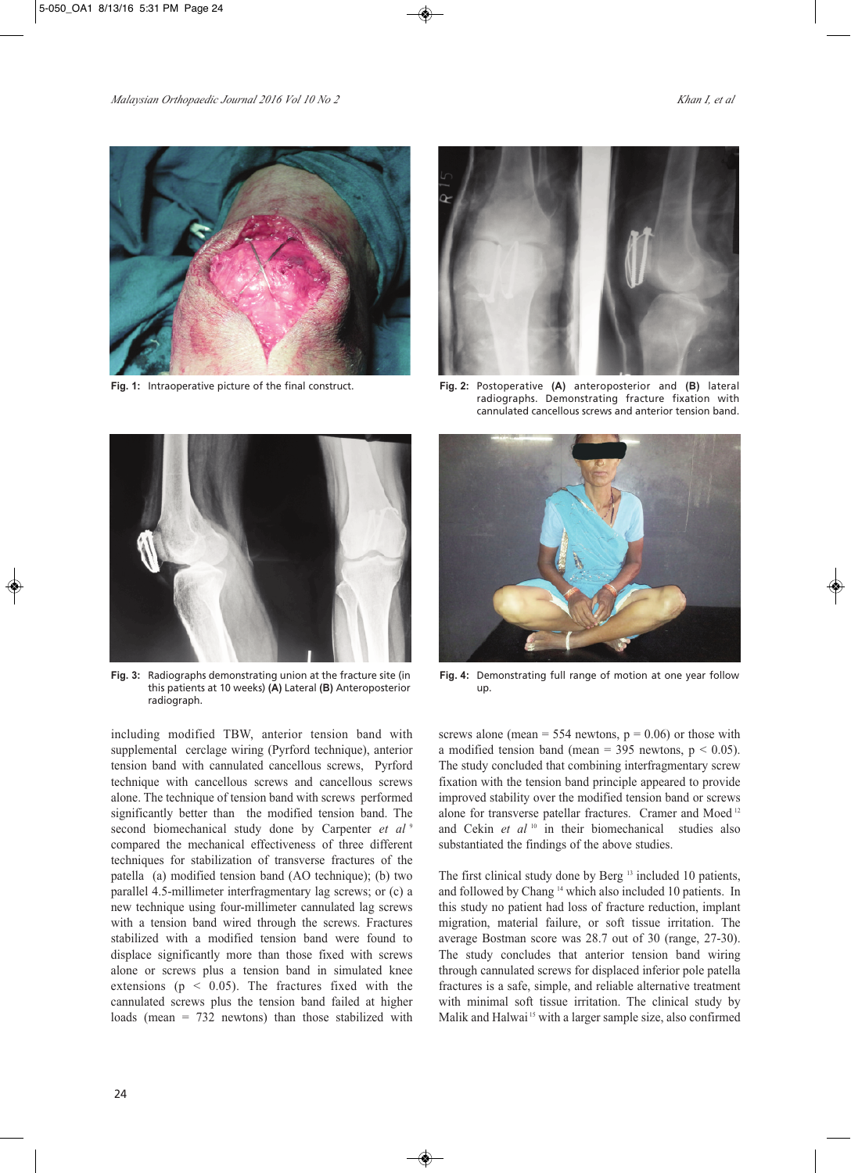



**Fig. 1:** Intraoperative picture of the final construct. **Fig. 2:** Postoperative **(A)** anteroposterior and **(B)** lateral radiographs. Demonstrating fracture fixation with cannulated cancellous screws and anterior tension band.



**Fig. 3:** Radiographs demonstrating union at the fracture site (in this patients at 10 weeks) **(A)** Lateral **(B)** Anteroposterior radiograph.

including modified TBW, anterior tension band with supplemental cerclage wiring (Pyrford technique), anterior tension band with cannulated cancellous screws, Pyrford technique with cancellous screws and cancellous screws alone. The technique of tension band with screws performed significantly better than the modified tension band. The second biomechanical study done by Carpenter *et al* <sup>9</sup> compared the mechanical effectiveness of three different techniques for stabilization of transverse fractures of the patella (a) modified tension band (AO technique); (b) two parallel 4.5-millimeter interfragmentary lag screws; or (c) a new technique using four-millimeter cannulated lag screws with a tension band wired through the screws. Fractures stabilized with a modified tension band were found to displace significantly more than those fixed with screws alone or screws plus a tension band in simulated knee extensions ( $p \leq 0.05$ ). The fractures fixed with the cannulated screws plus the tension band failed at higher loads (mean = 732 newtons) than those stabilized with



**Fig. 4:** Demonstrating full range of motion at one year follow up.

screws alone (mean =  $554$  newtons,  $p = 0.06$ ) or those with a modified tension band (mean = 395 newtons,  $p < 0.05$ ). The study concluded that combining interfragmentary screw fixation with the tension band principle appeared to provide improved stability over the modified tension band or screws alone for transverse patellar fractures. Cramer and Moed <sup>12</sup> and Cekin et al<sup>10</sup> in their biomechanical studies also substantiated the findings of the above studies.

The first clinical study done by Berg<sup>13</sup> included 10 patients, and followed by Chang <sup>14</sup> which also included 10 patients. In this study no patient had loss of fracture reduction, implant migration, material failure, or soft tissue irritation. The average Bostman score was 28.7 out of 30 (range, 27-30). The study concludes that anterior tension band wiring through cannulated screws for displaced inferior pole patella fractures is a safe, simple, and reliable alternative treatment with minimal soft tissue irritation. The clinical study by Malik and Halwai<sup>15</sup> with a larger sample size, also confirmed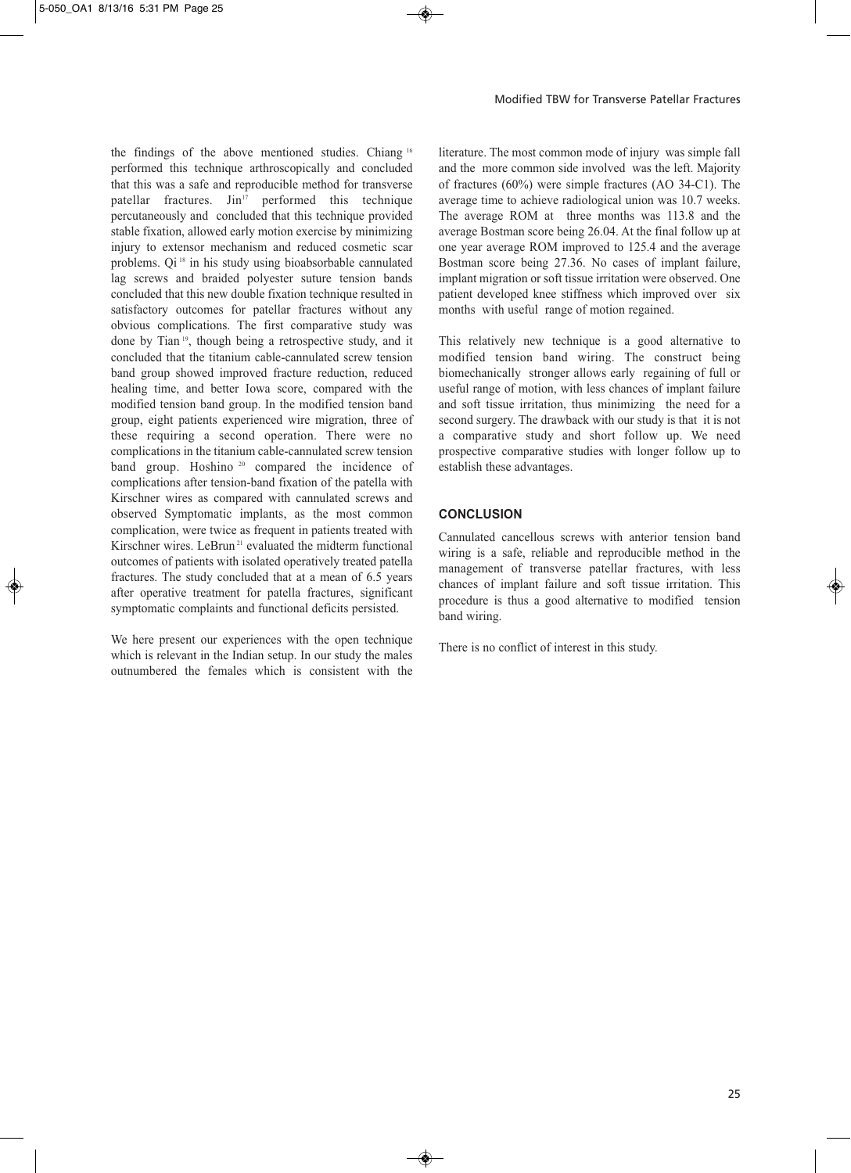the findings of the above mentioned studies. Chiang <sup>16</sup> performed this technique arthroscopically and concluded that this was a safe and reproducible method for transverse patellar fractures. Jin<sup>17</sup> performed this technique percutaneously and concluded that this technique provided stable fixation, allowed early motion exercise by minimizing injury to extensor mechanism and reduced cosmetic scar problems. Qi <sup>18</sup> in his study using bioabsorbable cannulated lag screws and braided polyester suture tension bands concluded that this new double fixation technique resulted in satisfactory outcomes for patellar fractures without any obvious complications. The first comparative study was done by Tian <sup>19</sup> , though being a retrospective study, and it concluded that the titanium cable-cannulated screw tension band group showed improved fracture reduction, reduced healing time, and better Iowa score, compared with the modified tension band group. In the modified tension band group, eight patients experienced wire migration, three of these requiring a second operation. There were no complications in the titanium cable-cannulated screw tension band group. Hoshino <sup>20</sup> compared the incidence of complications after tension-band fixation of the patella with Kirschner wires as compared with cannulated screws and observed Symptomatic implants, as the most common complication, were twice as frequent in patients treated with Kirschner wires. LeBrun<sup>21</sup> evaluated the midterm functional outcomes of patients with isolated operatively treated patella fractures. The study concluded that at a mean of 6.5 years after operative treatment for patella fractures, significant symptomatic complaints and functional deficits persisted.

We here present our experiences with the open technique which is relevant in the Indian setup. In our study the males outnumbered the females which is consistent with the

literature. The most common mode of injury was simple fall and the more common side involved was the left. Majority of fractures (60%) were simple fractures (AO 34-C1). The average time to achieve radiological union was 10.7 weeks. The average ROM at three months was 113.8 and the average Bostman score being 26.04. At the final follow up at one year average ROM improved to 125.4 and the average Bostman score being 27.36. No cases of implant failure, implant migration or soft tissue irritation were observed. One patient developed knee stiffness which improved over six months with useful range of motion regained.

This relatively new technique is a good alternative to modified tension band wiring. The construct being biomechanically stronger allows early regaining of full or useful range of motion, with less chances of implant failure and soft tissue irritation, thus minimizing the need for a second surgery. The drawback with our study is that it is not a comparative study and short follow up. We need prospective comparative studies with longer follow up to establish these advantages.

## **CONCLUSION**

Cannulated cancellous screws with anterior tension band wiring is a safe, reliable and reproducible method in the management of transverse patellar fractures, with less chances of implant failure and soft tissue irritation. This procedure is thus a good alternative to modified tension band wiring.

There is no conflict of interest in this study.